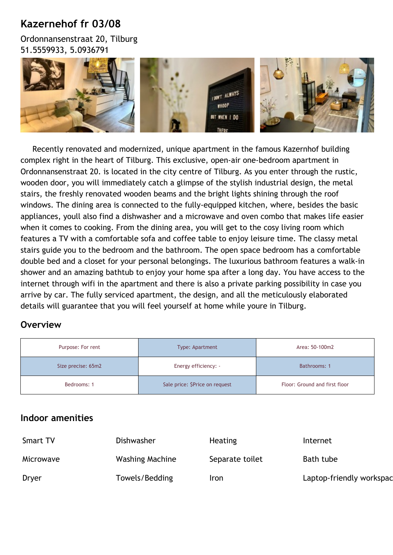# **Kazernehof fr 03/08**

Ordonnansenstraat 20, Tilburg 51.5559933, 5.0936791



 Recently renovated and modernized, unique apartment in the famous Kazernhof building complex right in the heart of Tilburg. This exclusive, open-air one-bedroom apartment in Ordonnansenstraat 20. is located in the city centre of Tilburg. As you enter through the rustic, wooden door, you will immediately catch a glimpse of the stylish industrial design, the metal stairs, the freshly renovated wooden beams and the bright lights shining through the roof windows. The dining area is connected to the fully-equipped kitchen, where, besides the basic appliances, youll also find a dishwasher and a microwave and oven combo that makes life easier when it comes to cooking. From the dining area, you will get to the cosy living room which features a TV with a comfortable sofa and coffee table to enjoy leisure time. The classy metal stairs guide you to the bedroom and the bathroom. The open space bedroom has a comfortable double bed and a closet for your personal belongings. The luxurious bathroom features a walk-in shower and an amazing bathtub to enjoy your home spa after a long day. You have access to the internet through wifi in the apartment and there is also a private parking possibility in case you arrive by car. The fully serviced apartment, the design, and all the meticulously elaborated details will guarantee that you will feel yourself at home while youre in Tilburg.

# **Overview**

| Purpose: For rent  | Type: Apartment                | Area: 50-100m2                |
|--------------------|--------------------------------|-------------------------------|
| Size precise: 65m2 | Energy efficiency: -           | Bathrooms: 1                  |
| Bedrooms: 1        | Sale price: \$Price on request | Floor: Ground and first floor |

## **Indoor amenities**

| <b>Smart TV</b> | Dishwasher      | <b>Heating</b>  | Internet                 |
|-----------------|-----------------|-----------------|--------------------------|
| Microwave       | Washing Machine | Separate toilet | Bath tube                |
| Dryer           | Towels/Bedding  | Iron            | Laptop-friendly workspac |